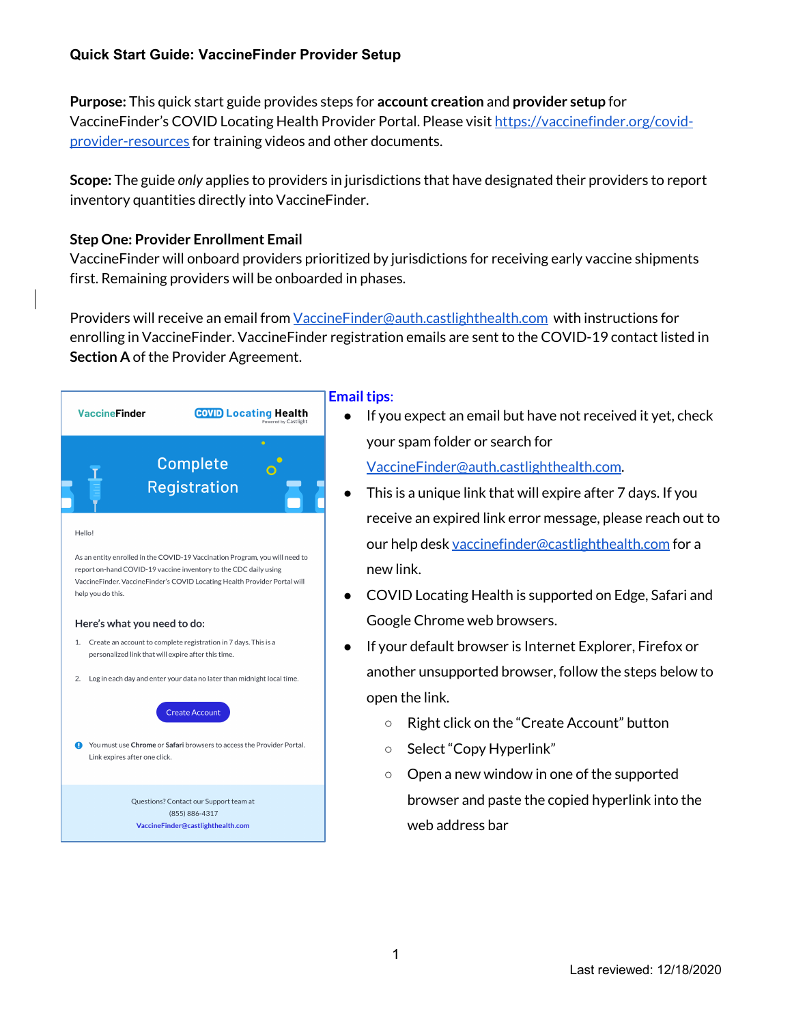# **Quick Start Guide: VaccineFinder Provider Setup**

**Purpose:** This quick start guide provides steps for **account creation** and **provider setup** for VaccineFinder's COVID Locating Health Provider Portal. Please visit https://vaccinefinder.org/covidprovider-resources for training videos and other documents.

**Scope:** The guide *only* applies to providers in jurisdictions that have designated their providers to report inventory quantities directly into VaccineFinder.

# **Step One: Provider Enrollment Email**

VaccineFinder will onboard providers prioritized by jurisdictions for receiving early vaccine shipments first. Remaining providers will be onboarded in phases.

Providers will receive an email from *VaccineFinder@auth.castlighthealth.com* with instructions for enrolling in VaccineFinder. VaccineFinder registration emails are sent to the COVID-19 contact listed in **Section A** of the Provider Agreement.



#### **Email tips**:

● If you expect an email but have not received it yet, check your spam folder or search for

VaccineFinder@auth.castlighthealth.com.

- This is a unique link that will expire after 7 days. If you receive an expired link error message, please reach out to our help desk vaccinefinder@castlighthealth.com for a new link.
- COVID Locating Health is supported on Edge, Safari and Google Chrome web browsers.
- If your default browser is Internet Explorer, Firefox or another unsupported browser, follow the steps below to open the link.
	- Right click on the "Create Account" button
	- Select "Copy Hyperlink"
	- Open a new window in one of the supported browser and paste the copied hyperlink into the web address bar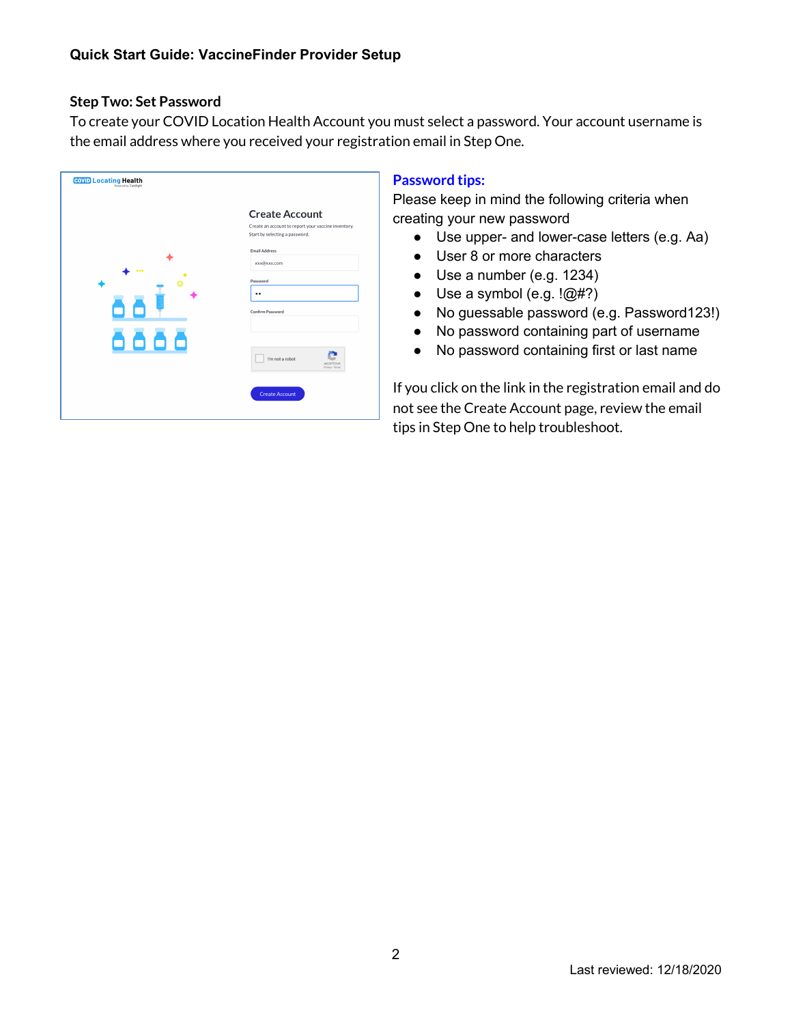#### **Step Two: Set Password**

To create your COVID Location Health Account you must select a password. Your account username is the email address where you received your registration email in Step One.

| <b>COVID Locating Health</b> |                                                                                                                |
|------------------------------|----------------------------------------------------------------------------------------------------------------|
| 000                          | <b>Create Account</b><br>Create an account to report your vaccine inventory.<br>Start by selecting a password. |
|                              | <b>Email Address</b><br>xxx@xxx.com                                                                            |
|                              | Password<br>                                                                                                   |
| 88 I                         | <b>Confirm Password</b>                                                                                        |
| 8888                         | I'm not a robot<br><b>RECAPTCHA</b><br>Privacy - Terms                                                         |
|                              | <b>Create Account</b>                                                                                          |

# **Password tips:**

Please keep in mind the following criteria when creating your new password

- Use upper- and lower-case letters (e.g. Aa)
- User 8 or more characters
- Use a number (e.g. 1234)
- $\bullet$  Use a symbol (e.g.  $\langle @\#?\rangle$
- No guessable password (e.g. Password123!)
- No password containing part of username
- No password containing first or last name

If you click on the link in the registration email and do not see the Create Account page, review the email tips in Step One to help troubleshoot.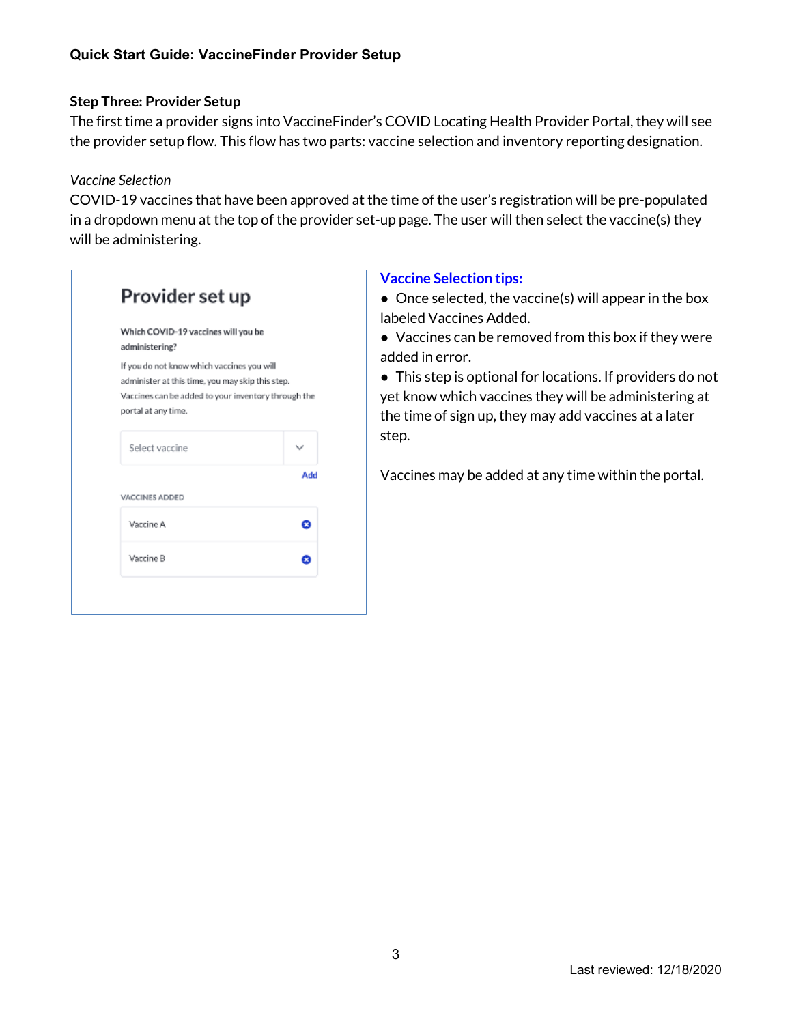# **Step Three: Provider Setup**

The first time a provider signs into VaccineFinder's COVID Locating Health Provider Portal, they will see the provider setup flow. This flow has two parts: vaccine selection and inventory reporting designation.

### *Vaccine Selection*

COVID-19 vaccines that have been approved at the time of the user's registration will be pre-populated in a dropdown menu at the top of the provider set-up page. The user will then select the vaccine(s) they will be administering.

| Which COVID-19 vaccines will you be<br>administering?                                                                                                                        |     |
|------------------------------------------------------------------------------------------------------------------------------------------------------------------------------|-----|
| If you do not know which vaccines you will<br>administer at this time, you may skip this step.<br>Vaccines can be added to your inventory through the<br>portal at any time. |     |
| Select vaccine                                                                                                                                                               |     |
|                                                                                                                                                                              | Add |
| VACCINES ADDED                                                                                                                                                               |     |
| Vaccine A                                                                                                                                                                    |     |
| Vaccine B                                                                                                                                                                    |     |

# **Vaccine Selection tips:**

• Once selected, the vaccine(s) will appear in the box labeled Vaccines Added.

● Vaccines can be removed from this box if they were added in error.

● This step is optional for locations. If providers do not yet know which vaccines they will be administering at the time of sign up, they may add vaccines at a later step.

Vaccines may be added at any time within the portal.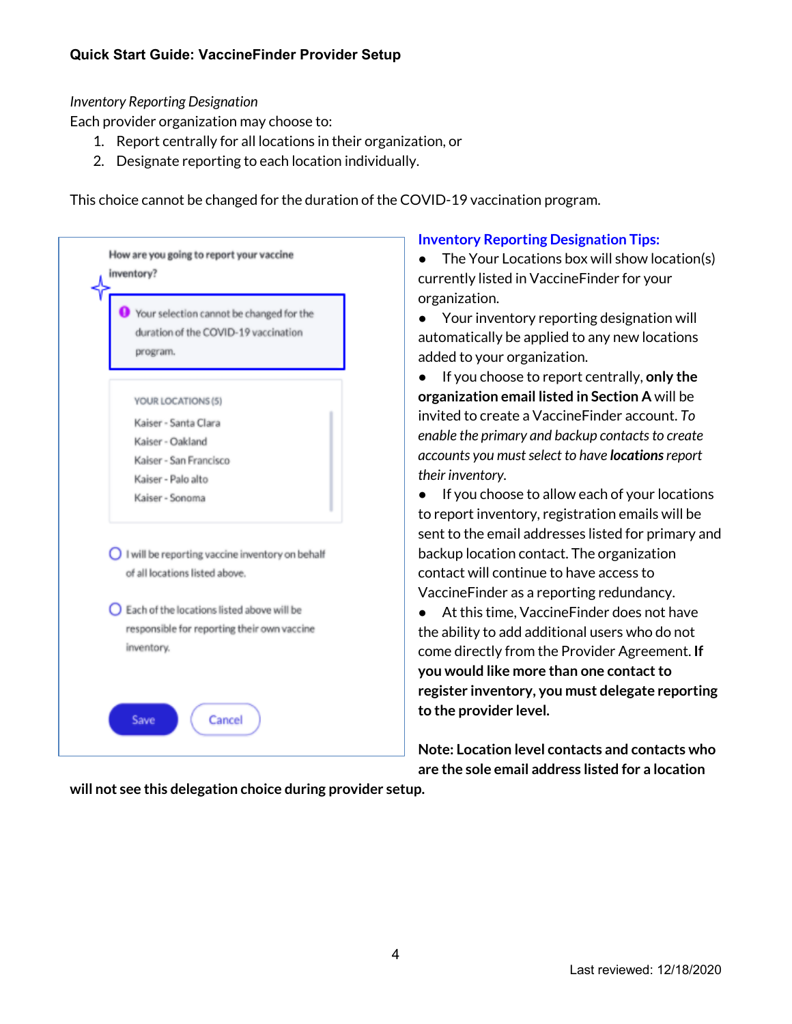# *Inventory Reporting Designation*

Each provider organization may choose to:

- 1. Report centrally for all locations in their organization, or
- 2. Designate reporting to each location individually.

This choice cannot be changed for the duration of the COVID-19 vaccination program.

| How are you going to report your vaccine<br>inventory?                                                                                               |
|------------------------------------------------------------------------------------------------------------------------------------------------------|
| Your selection cannot be changed for the<br>duration of the COVID-19 vaccination<br>program.                                                         |
| YOUR LOCATIONS (5)<br>Kaiser - Santa Clara                                                                                                           |
| Kaiser - Oakland<br>Kaiser - San Francisco<br>Kaiser - Palo alto<br>Kaiser - Sonoma                                                                  |
| $\bigcirc$ I will be reporting vaccine inventory on behalf                                                                                           |
| of all locations listed above.<br>$\bigcirc$ Each of the locations listed above will be<br>responsible for reporting their own vaccine<br>inventory. |
|                                                                                                                                                      |
| Save<br>Cancel                                                                                                                                       |

### **Inventory Reporting Designation Tips:**

● The Your Locations box will show location(s) currently listed in VaccineFinder for your organization.

● Your inventory reporting designation will automatically be applied to any new locations added to your organization.

● If you choose to report centrally, **only the organization email listed in Section A** will be invited to create a VaccineFinder account. *To enable the primary and backup contacts to create accounts you must select to have locationsreport their inventory.*

● If you choose to allow each of your locations to report inventory, registration emails will be sent to the email addresses listed for primary and backup location contact. The organization contact will continue to have access to VaccineFinder as a reporting redundancy.

● At this time, VaccineFinder does not have the ability to add additional users who do not come directly from the Provider Agreement. **If you would like more than one contact to register inventory, you must delegate reporting to the provider level.** 

**Note: Location level contacts and contacts who are the sole email address listed for a location** 

**will not see this delegation choice during provider setup.**